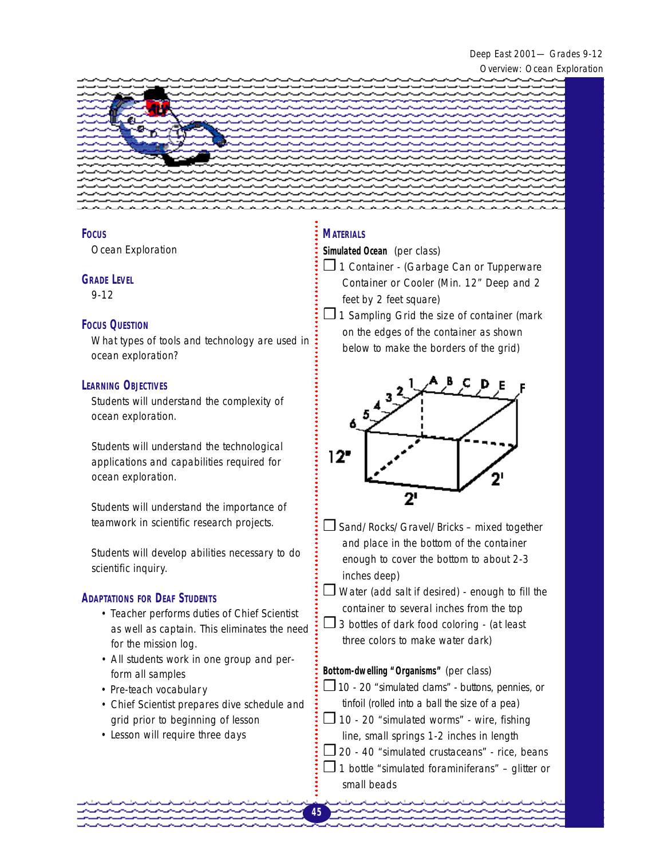Deep East 2001— Grades 9-12 Overview: Ocean Exploration



#### **FOCUS**

Ocean Exploration

#### **GRADE LEVEL**

9-12

#### **FOCUS QUESTION**

What types of tools and technology are used in ocean exploration?

#### **LEARNING OBJECTIVES**

Students will understand the complexity of ocean exploration.

Students will understand the technological applications and capabilities required for ocean exploration.

Students will understand the importance of teamwork in scientific research projects.

Students will develop abilities necessary to do scientific inquiry.

### **ADAPTATIONS FOR DEAF STUDENTS**

- Teacher performs duties of Chief Scientist as well as captain. This eliminates the need for the mission log.
- All students work in one group and perform all samples
- Pre-teach vocabulary
- Chief Scientist prepares dive schedule and grid prior to beginning of lesson
- Lesson will require three days

### **MATERIALS**

**Simulated Ocean** (per class)

- ❒ 1 Container (Garbage Can or Tupperware Container or Cooler (Min. 12" Deep and 2 feet by 2 feet square)
- $\Box$  1 Sampling Grid the size of container (mark on the edges of the container as shown below to make the borders of the grid)



- ❒ Sand/Rocks/Gravel/Bricks mixed together and place in the bottom of the container enough to cover the bottom to about 2-3 inches deep)
- $\Box$  Water (add salt if desired) enough to fill the container to several inches from the top
- $\Box$  3 bottles of dark food coloring (at least three colors to make water dark)

#### **Bottom-dwelling "Organisms"** (per class)

- $\square$  10 20 "simulated clams" buttons, pennies, or tinfoil (rolled into a ball the size of a pea)
- ❒ 10 20 "simulated worms" wire, fishing line, small springs 1-2 inches in length
- $\square$  20 40 "simulated crustaceans" rice, beans
- $\Box$  1 bottle "simulated foraminiferans" glitter or small beads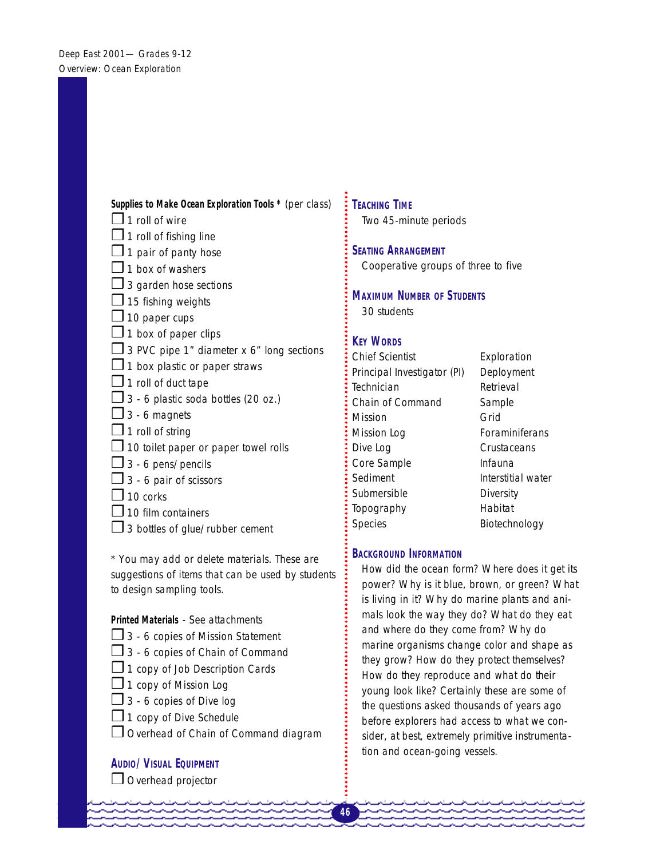### **Supplies to Make Ocean Exploration Tools \*** (per class)

- $\Box$  1 roll of wire
- $\Box$  1 roll of fishing line
- $\Box$  1 pair of panty hose
- $\Box$  1 box of washers
- $\Box$  3 garden hose sections
- $\square$  15 fishing weights
- $\Box$  10 paper cups
- $\Box$  1 box of paper clips
- $\Box$  3 PVC pipe 1" diameter x 6" long sections
- $\Box$  1 box plastic or paper straws
- $\Box$  1 roll of duct tape
- $\Box$  3 6 plastic soda bottles (20 oz.)
- $\Box$  3 6 magnets
- $\Box$  1 roll of string
- $\Box$  10 toilet paper or paper towel rolls
- $\square$  3 6 pens/pencils
- $\Box$  3 6 pair of scissors
- $\Box$  10 corks
- $\Box$  10 film containers
- $\square$  3 bottles of glue/rubber cement

*\* You may add or delete materials. These are suggestions of items that can be used by students to design sampling tools.* 

### **Printed Materials** - See attachments

- $\Box$  3 6 copies of Mission Statement
- $\Box$  3 6 copies of Chain of Command
- $\Box$  1 copy of Job Description Cards
- ❒ 1 copy of Mission Log
- $\Box$  3 6 copies of Dive log
- $\Box$  1 copy of Dive Schedule
- ❒ Overhead of Chain of Command diagram

### **AUDIO/VISUAL EQUIPMENT**

❒ Overhead projector

## **TEACHING TIME**  Two 45-minute periods

#### **SEATING ARRANGEMENT**

Cooperative groups of three to five

**MAXIMUM NUMBER OF STUDENTS** 30 students

### **KEY WORDS**

Chief Scientist **Exploration** Principal Investigator (PI) Deployment Technician Retrieval Chain of Command Sample Mission **Grid** Mission Log Foraminiferans Dive Log Crustaceans Core Sample **Infauna** Sediment Interstitial water Submersible Diversity Topography Habitat Species Biotechnology

### **BACKGROUND INFORMATION**

How did the ocean form? Where does it get its power? Why is it blue, brown, or green? What is living in it? Why do marine plants and animals look the way they do? What do they eat and where do they come from? Why do marine organisms change color and shape as they grow? How do they protect themselves? How do they reproduce and what do their young look like? Certainly these are some of the questions asked thousands of years ago before explorers had access to what we consider, at best, extremely primitive instrumentation and ocean-going vessels.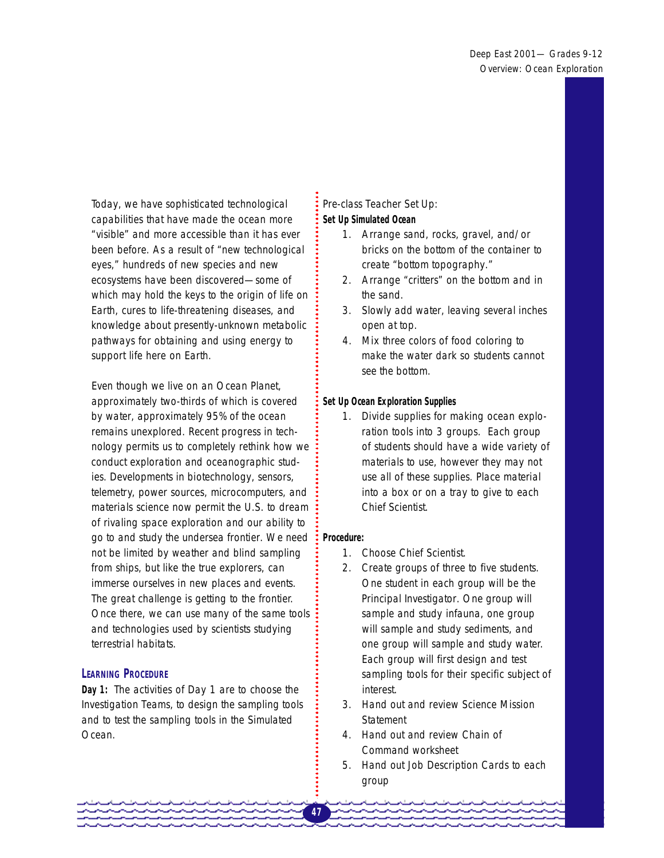Today, we have sophisticated technological capabilities that have made the ocean more "visible" and more accessible than it has ever been before. As a result of "new technological eyes," hundreds of new species and new ecosystems have been discovered—some of which may hold the keys to the origin of life on Earth, cures to life-threatening diseases, and knowledge about presently-unknown metabolic pathways for obtaining and using energy to support life here on Earth.

Even though we live on an Ocean Planet, approximately two-thirds of which is covered by water, approximately 95% of the ocean remains unexplored. Recent progress in technology permits us to completely rethink how we conduct exploration and oceanographic studies. Developments in biotechnology, sensors, telemetry, power sources, microcomputers, and materials science now permit the U.S. to dream of rivaling space exploration and our ability to go to and study the undersea frontier. We need not be limited by weather and blind sampling from ships, but like the true explorers, can immerse ourselves in new places and events. The great challenge is getting to the frontier. Once there, we can use many of the same tools and technologies used by scientists studying terrestrial habitats.

### **LEARNING PROCEDURE**

**Day 1:** *The activities of Day 1 are to choose the Investigation Teams, to design the sampling tools and to test the sampling tools in the Simulated Ocean*.

### Pre-class Teacher Set Up: **Set Up Simulated Ocean**

- 1. Arrange sand, rocks, gravel, and/or bricks on the bottom of the container to create "bottom topography."
- 2. Arrange "critters" on the bottom and in the sand.
- 3. Slowly add water, leaving several inches open at top.
- 4. Mix three colors of food coloring to make the water dark so students cannot see the bottom.

### **Set Up Ocean Exploration Supplies**

1. Divide supplies for making ocean exploration tools into 3 groups. Each group of students should have a wide variety of materials to use, however they may not use all of these supplies. Place material into a box or on a tray to give to each Chief Scientist.

#### **Procedure:**

- 1. Choose Chief Scientist.
- 2. Create groups of three to five students. One student in each group will be the Principal Investigator. One group will sample and study infauna, one group will sample and study sediments, and one group will sample and study water. Each group will first design and test sampling tools for their specific subject of interest.
- 3. Hand out and review Science Mission **Statement**
- 4. Hand out and review Chain of Command worksheet
- 5. Hand out Job Description Cards to each group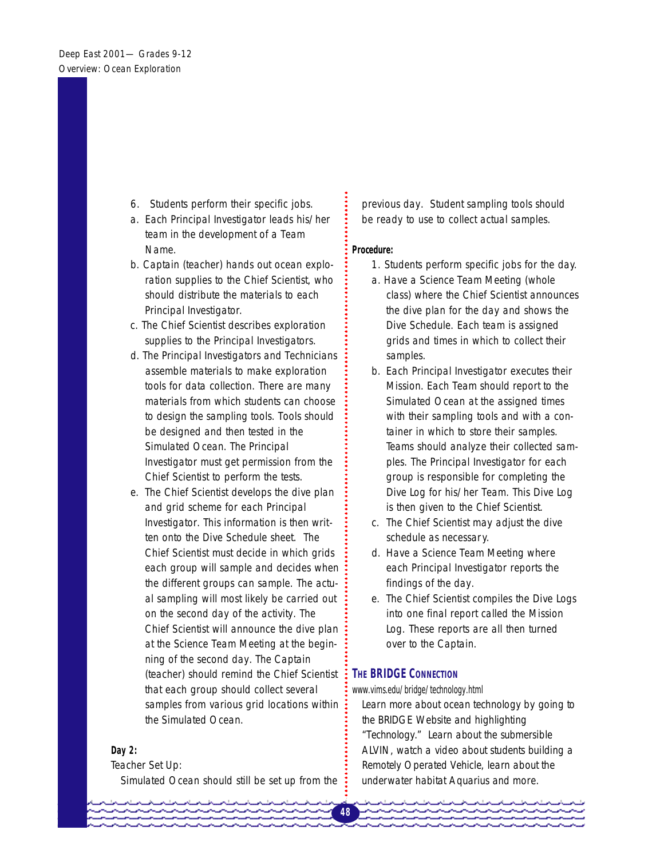- 6. Students perform their specific jobs.
- a. Each Principal Investigator leads his/her team in the development of a Team Name.
- b. Captain (teacher) hands out ocean exploration supplies to the Chief Scientist, who should distribute the materials to each Principal Investigator.
- c. The Chief Scientist describes exploration supplies to the Principal Investigators.
- d. The Principal Investigators and Technicians assemble materials to make exploration tools for data collection. There are many materials from which students can choose to design the sampling tools. Tools should be designed and then tested in the Simulated Ocean. The Principal Investigator must get permission from the Chief Scientist to perform the tests.
- e. The Chief Scientist develops the dive plan and grid scheme for each Principal Investigator. This information is then written onto the Dive Schedule sheet. The Chief Scientist must decide in which grids each group will sample and decides when the different groups can sample. The actual sampling will most likely be carried out on the second day of the activity. The Chief Scientist will announce the dive plan at the Science Team Meeting at the beginning of the second day. The Captain (teacher) should remind the Chief Scientist that each group should collect several samples from various grid locations within the Simulated Ocean.

#### **Day 2:**

Teacher Set Up:

*Simulated Ocean should still be set up from the* 

*previous day. Student sampling tools should be ready to use to collect actual samples.* 

#### **Procedure:**

- 1. Students perform specific jobs for the day.
- a. Have a Science Team Meeting (whole class) where the Chief Scientist announces the dive plan for the day and shows the Dive Schedule. Each team is assigned grids and times in which to collect their samples.
- b. Each Principal Investigator executes their Mission. Each Team should report to the Simulated Ocean at the assigned times with their sampling tools and with a container in which to store their samples. Teams should analyze their collected samples. The Principal Investigator for each group is responsible for completing the Dive Log for his/her Team. This Dive Log is then given to the Chief Scientist.
- c. The Chief Scientist may adjust the dive schedule as necessary.
- d. Have a Science Team Meeting where each Principal Investigator reports the findings of the day.
- e. The Chief Scientist compiles the Dive Logs into one final report called the Mission Log. These reports are all then turned over to the Captain.

### **THE BRIDGE CONNECTION**

#### www.vims.edu/bridge/technology.html

Learn more about ocean technology by going to the BRIDGE Website and highlighting "Technology." Learn about the submersible ALVIN, watch a video about students building a Remotely Operated Vehicle, learn about the underwater habitat Aquarius and more.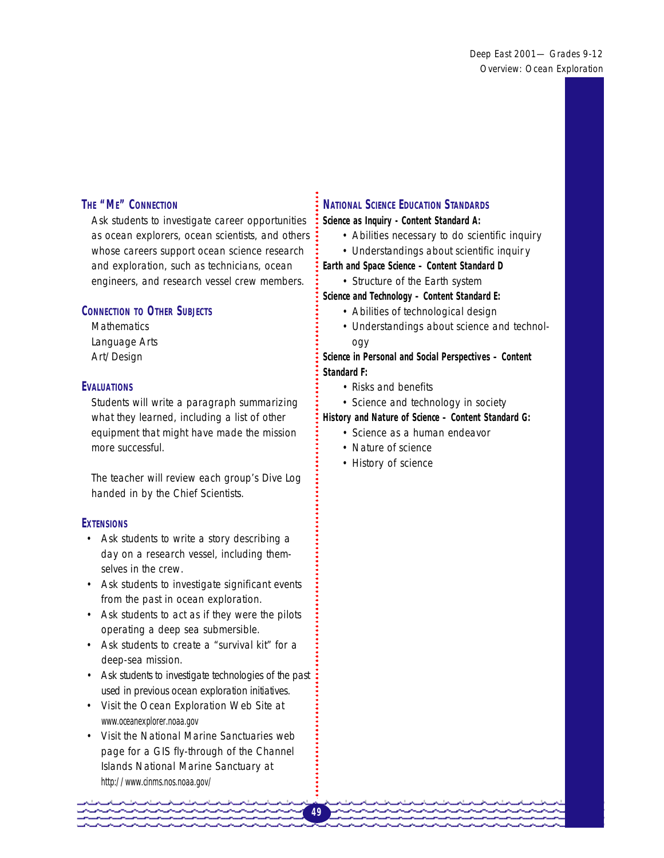### **THE "ME" CONNECTION**

Ask students to investigate career opportunities as ocean explorers, ocean scientists, and others whose careers support ocean science research and exploration, such as technicians, ocean engineers, and research vessel crew members.

### **CONNECTION TO OTHER SUBJECTS**

**Mathematics** Language Arts Art/Design

#### **EVALUATIONS**

Students will write a paragraph summarizing what they learned, including a list of other equipment that might have made the mission more successful.

The teacher will review each group's Dive Log handed in by the Chief Scientists.

#### **EXTENSIONS**

- • Ask students to write a story describing a day on a research vessel, including themselves in the crew.
- • Ask students to investigate significant events from the past in ocean exploration.
- • Ask students to act as if they were the pilots operating a deep sea submersible.
- Ask students to create a "survival kit" for a deep-sea mission.
- • Ask students to investigate technologies of the past used in previous ocean exploration initiatives.
- • Visit the Ocean Exploration Web Site at www.oceanexplorer.noaa.gov
- Visit the National Marine Sanctuaries web page for a GIS fly-through of the Channel Islands National Marine Sanctuary at http://www.cinms.nos.noaa.gov/

### **NATIONAL SCIENCE EDUCATION STANDARDS**

**Science as Inquiry - Content Standard A:** 

- Abilities necessary to do scientific inquiry
- Understandings about scientific inquiry
- **Earth and Space Science Content Standard D**
- Structure of the Earth system

**Science and Technology – Content Standard E:** 

- Abilities of technological design
- Understandings about science and technology

**Science in Personal and Social Perspectives – Content Standard F:** 

- Risks and benefits
- Science and technology in society

#### **History and Nature of Science – Content Standard G:**

- Science as a human endeavor
- Nature of science
- History of science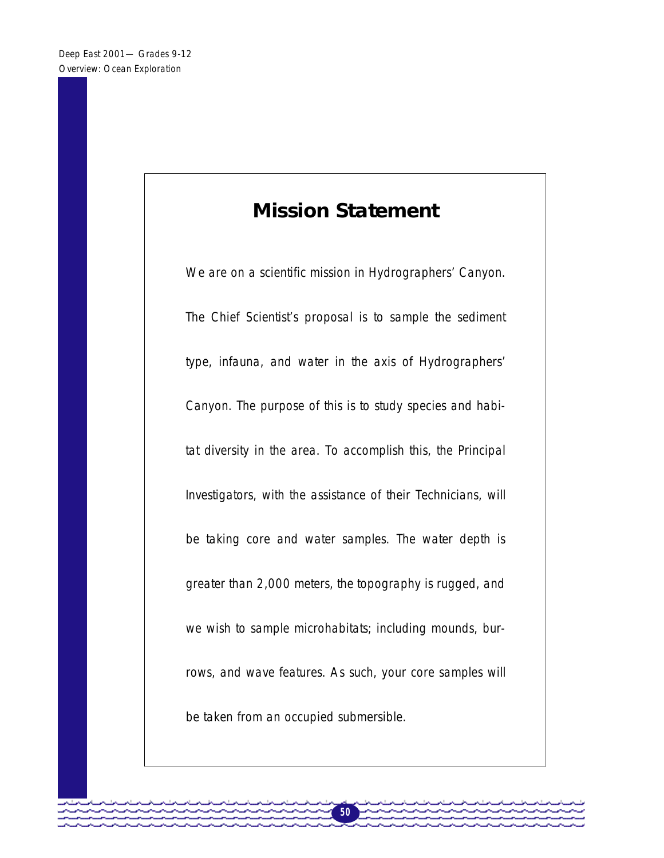# **Mission Statement**

We are on a scientific mission in Hydrographers' Canyon. The Chief Scientist's proposal is to sample the sediment type, infauna, and water in the axis of Hydrographers' Canyon. The purpose of this is to study species and habitat diversity in the area. To accomplish this, the Principal Investigators, with the assistance of their Technicians, will be taking core and water samples. The water depth is greater than 2,000 meters, the topography is rugged, and we wish to sample microhabitats; including mounds, burrows, and wave features. As such, your core samples will be taken from an occupied submersible.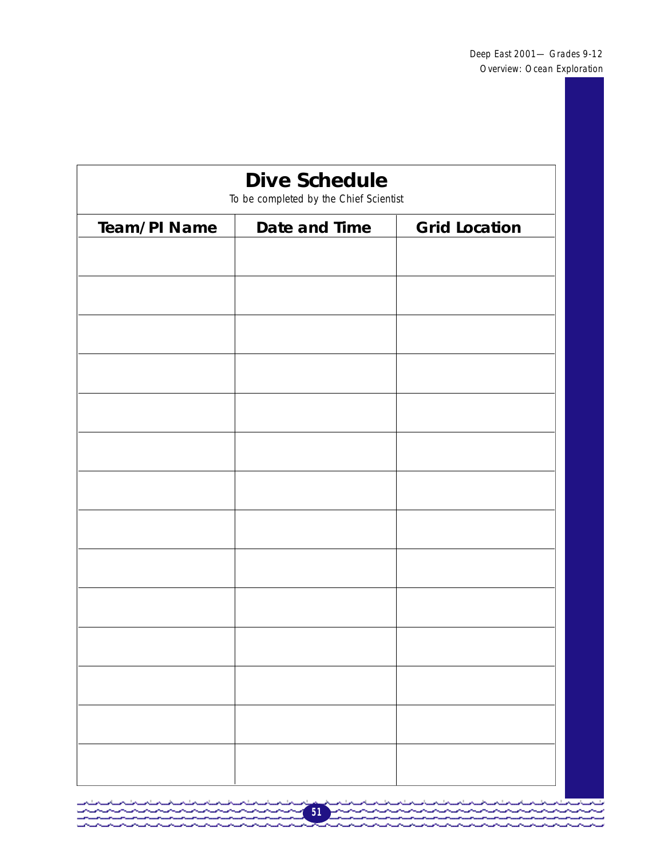| <b>Team/PI Name</b> |               | <b>Dive Schedule</b><br>To be completed by the Chief Scientist |  |  |  |
|---------------------|---------------|----------------------------------------------------------------|--|--|--|
|                     | Date and Time | <b>Grid Location</b>                                           |  |  |  |
|                     |               |                                                                |  |  |  |
|                     |               |                                                                |  |  |  |
|                     |               |                                                                |  |  |  |
|                     |               |                                                                |  |  |  |
|                     |               |                                                                |  |  |  |
|                     |               |                                                                |  |  |  |
|                     |               |                                                                |  |  |  |
|                     |               |                                                                |  |  |  |
|                     |               |                                                                |  |  |  |
|                     |               |                                                                |  |  |  |
|                     |               |                                                                |  |  |  |
|                     |               |                                                                |  |  |  |
|                     |               |                                                                |  |  |  |
|                     |               |                                                                |  |  |  |
|                     |               |                                                                |  |  |  |
|                     |               |                                                                |  |  |  |

**51** 

<u>A Alban Alban A</u>

- 23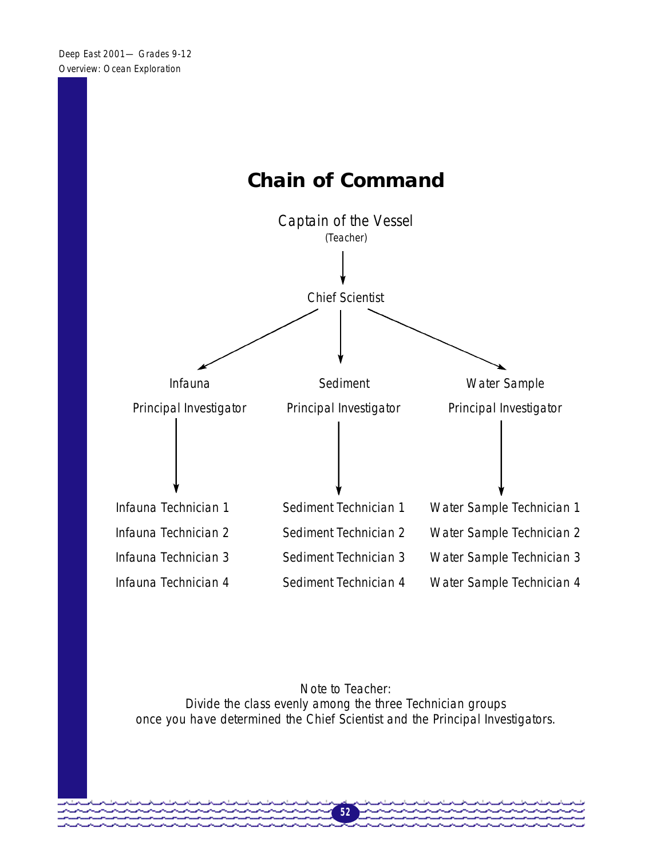

*Note to Teacher: Divide the class evenly among the three Technician groups once you have determined the Chief Scientist and the Principal Investigators.*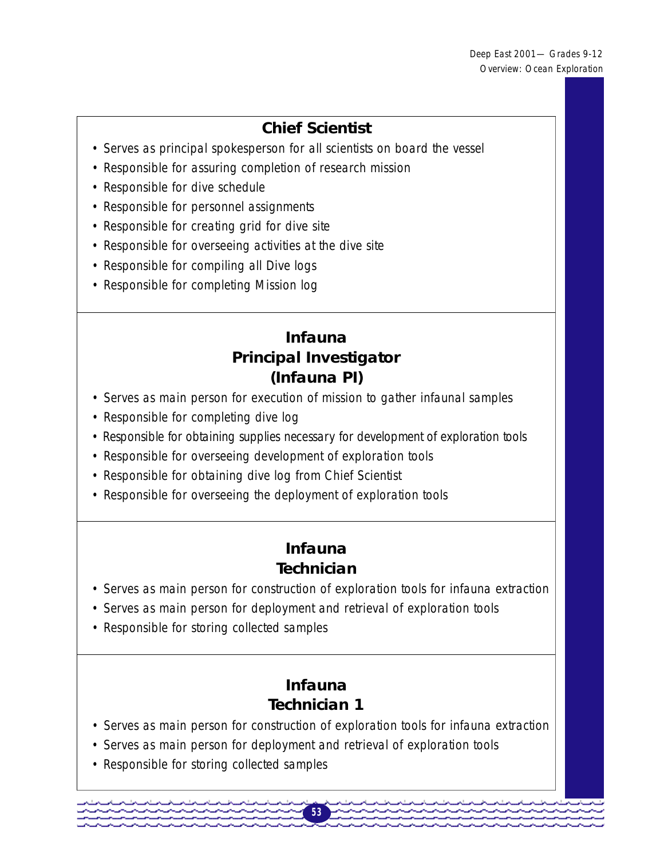## **Chief Scientist**

- Serves as principal spokesperson for all scientists on board the vessel
- Responsible for assuring completion of research mission
- Responsible for dive schedule
- Responsible for personnel assignments
- Responsible for creating grid for dive site
- Responsible for overseeing activities at the dive site
- Responsible for compiling all Dive logs
- Responsible for completing Mission log

## **Infauna Principal Investigator (Infauna PI)**

- Serves as main person for execution of mission to gather infaunal samples
- Responsible for completing dive log
- Responsible for obtaining supplies necessary for development of exploration tools
- Responsible for overseeing development of exploration tools
- Responsible for obtaining dive log from Chief Scientist
- Responsible for overseeing the deployment of exploration tools

## **Infauna Technician**

- Serves as main person for construction of exploration tools for infauna extraction
- Serves as main person for deployment and retrieval of exploration tools
- Responsible for storing collected samples

## **Infauna Technician 1**

• Serves as main person for construction of exploration tools for infauna extraction

- Serves as main person for deployment and retrieval of exploration tools
- Responsible for storing collected samples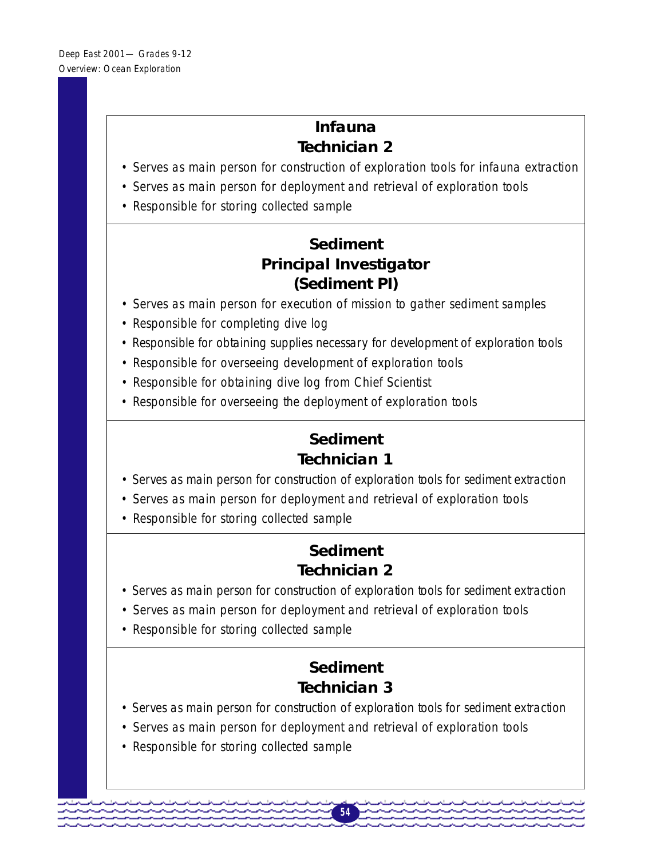## **Infauna Technician 2**

- Serves as main person for construction of exploration tools for infauna extraction
- Serves as main person for deployment and retrieval of exploration tools
- Responsible for storing collected sample

## **Sediment Principal Investigator (Sediment PI)**

- Serves as main person for execution of mission to gather sediment samples
- Responsible for completing dive log
- Responsible for obtaining supplies necessary for development of exploration tools
- Responsible for overseeing development of exploration tools
- Responsible for obtaining dive log from Chief Scientist
- Responsible for overseeing the deployment of exploration tools

## **Sediment Technician 1**

- Serves as main person for construction of exploration tools for sediment extraction
- Serves as main person for deployment and retrieval of exploration tools
- Responsible for storing collected sample

## **Sediment Technician 2**

- Serves as main person for construction of exploration tools for sediment extraction
- Serves as main person for deployment and retrieval of exploration tools
- Responsible for storing collected sample

## **Sediment Technician 3**

• Serves as main person for construction of exploration tools for sediment extraction

- Serves as main person for deployment and retrieval of exploration tools
- Responsible for storing collected sample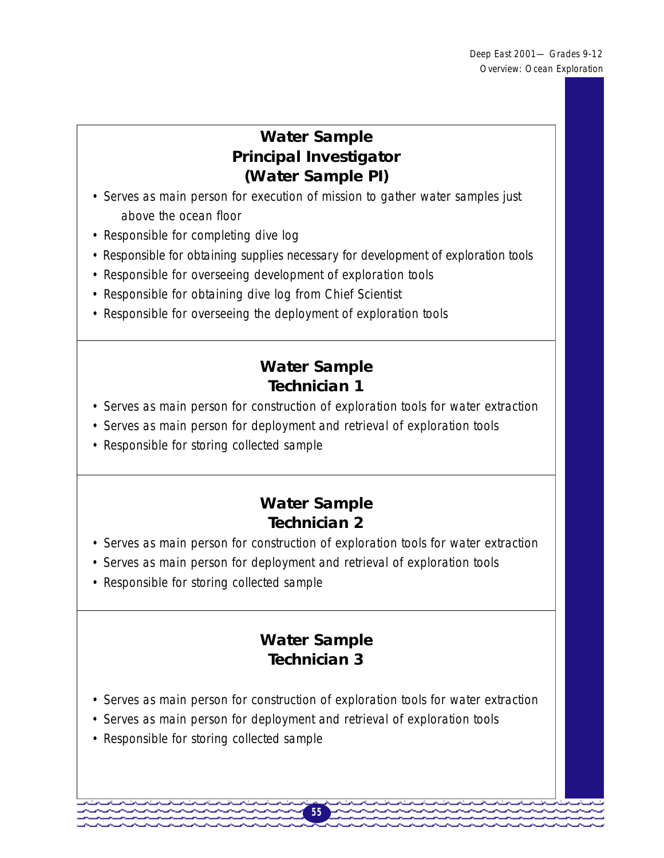## **Water Sample Principal Investigator (Water Sample PI)**

- Serves as main person for execution of mission to gather water samples just above the ocean floor
- Responsible for completing dive log
- Responsible for obtaining supplies necessary for development of exploration tools
- Responsible for overseeing development of exploration tools
- Responsible for obtaining dive log from Chief Scientist
- Responsible for overseeing the deployment of exploration tools

## **Water Sample Technician 1**

- Serves as main person for construction of exploration tools for water extraction
- Serves as main person for deployment and retrieval of exploration tools
- Responsible for storing collected sample

## **Water Sample Technician 2**

- Serves as main person for construction of exploration tools for water extraction
- Serves as main person for deployment and retrieval of exploration tools
- Responsible for storing collected sample

## **Water Sample Technician 3**

• Serves as main person for construction of exploration tools for water extraction

- Serves as main person for deployment and retrieval of exploration tools
- Responsible for storing collected sample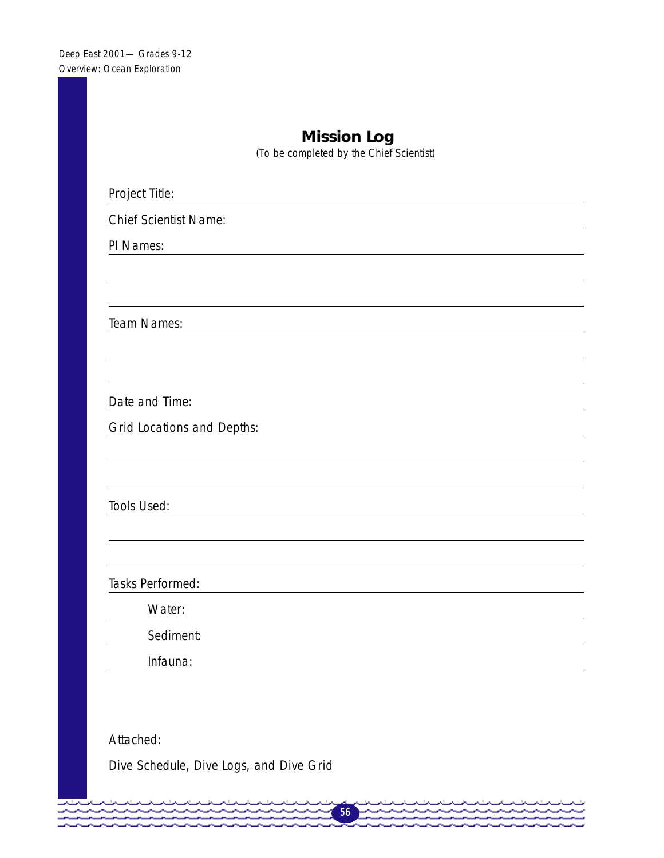| <b>Mission Log</b><br>(To be completed by the Chief Scientist) |  |  |
|----------------------------------------------------------------|--|--|
| Project Title:                                                 |  |  |
| <b>Chief Scientist Name:</b>                                   |  |  |
| PI Names:                                                      |  |  |
|                                                                |  |  |
|                                                                |  |  |
| Team Names:                                                    |  |  |
|                                                                |  |  |
|                                                                |  |  |
| Date and Time:                                                 |  |  |
| <b>Grid Locations and Depths:</b>                              |  |  |
|                                                                |  |  |
|                                                                |  |  |
| Tools Used:                                                    |  |  |
|                                                                |  |  |
|                                                                |  |  |
| Tasks Performed:                                               |  |  |
| Water:                                                         |  |  |
| Sediment:                                                      |  |  |
| Infauna:                                                       |  |  |
|                                                                |  |  |

Attached:

متمتمتم

Dive Schedule, Dive Logs, and Dive Grid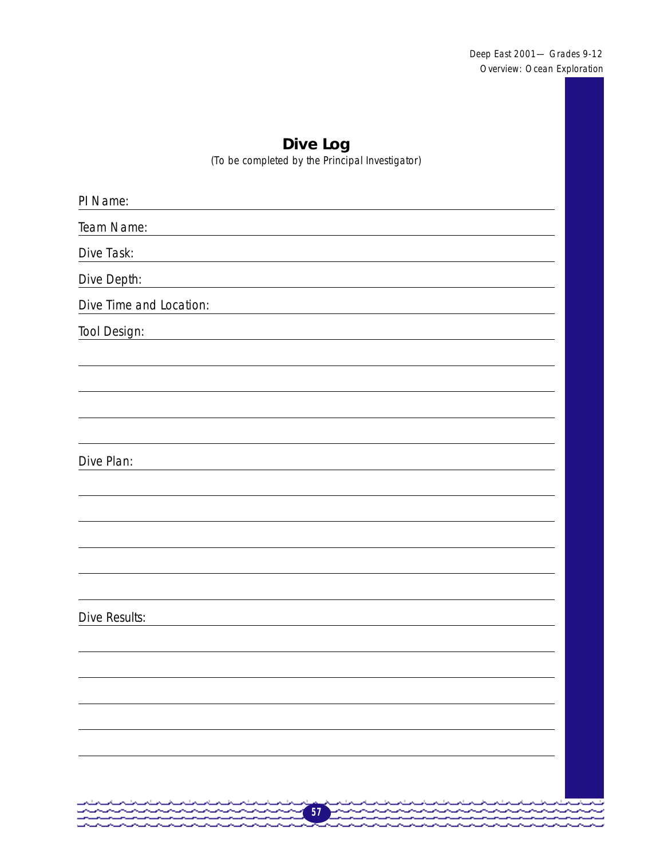Deep East 2001— Grades 9-12 Overview: Ocean Exploration

## **Dive Log**

(To be completed by the Principal Investigator)

| PI Name:                                                                                                                                                                                                                                           |                     |
|----------------------------------------------------------------------------------------------------------------------------------------------------------------------------------------------------------------------------------------------------|---------------------|
| Team Name:                                                                                                                                                                                                                                         |                     |
| Dive Task:                                                                                                                                                                                                                                         |                     |
| Dive Depth:                                                                                                                                                                                                                                        |                     |
| Dive Time and Location:                                                                                                                                                                                                                            |                     |
| Tool Design:                                                                                                                                                                                                                                       |                     |
|                                                                                                                                                                                                                                                    |                     |
|                                                                                                                                                                                                                                                    |                     |
|                                                                                                                                                                                                                                                    |                     |
|                                                                                                                                                                                                                                                    |                     |
| Dive Plan:                                                                                                                                                                                                                                         |                     |
|                                                                                                                                                                                                                                                    |                     |
|                                                                                                                                                                                                                                                    |                     |
|                                                                                                                                                                                                                                                    |                     |
|                                                                                                                                                                                                                                                    |                     |
|                                                                                                                                                                                                                                                    |                     |
| <b>Dive Results:</b>                                                                                                                                                                                                                               |                     |
|                                                                                                                                                                                                                                                    |                     |
|                                                                                                                                                                                                                                                    |                     |
|                                                                                                                                                                                                                                                    |                     |
|                                                                                                                                                                                                                                                    |                     |
|                                                                                                                                                                                                                                                    |                     |
|                                                                                                                                                                                                                                                    |                     |
|                                                                                                                                                                                                                                                    |                     |
| 57<br>والمستحيل والمستحيل والمستحيل والمستحيل والمستحيل والمستحيل والمستحيل والمستحيل والمستحيل والمستحيل والمستحيل<br>المساحين والمساحين والمساحين والمساحين والمساحين والمساحين والمساحين والمساحين والمساحية<br>-----------------------<br>مسحب | المستحسب المستحسناه |